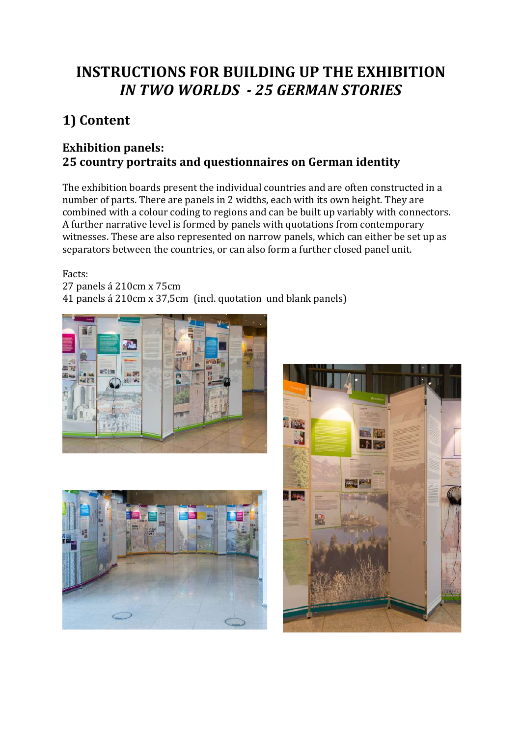# **INSTRUCTIONS FOR BUILDING UP THE EXHIBITION** *IN TWO WORLDS - 25 GERMAN STORIES*

# **1) Content**

## **Exhibition panels: 25 country portraits and questionnaires on German identity**

The exhibition boards present the individual countries and are often constructed in a number of parts. There are panels in 2 widths, each with its own height. They are combined with a colour coding to regions and can be built up variably with connectors. A further narrative level is formed by panels with quotations from contemporary witnesses. These are also represented on narrow panels, which can either be set up as separators between the countries, or can also form a further closed panel unit.

Facts:

27 panels á 210cm x 75cm 41 panels á 210cm x 37,5cm (incl. quotation und blank panels)





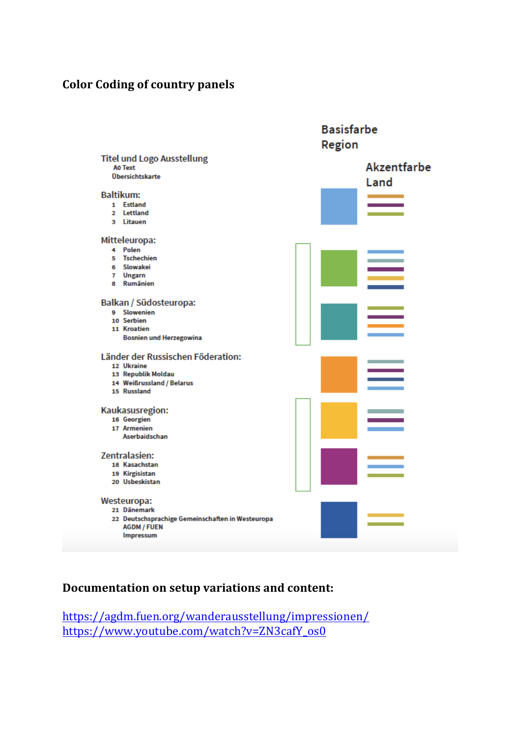#### **Color Coding of country panels**



#### **Documentation on setup variations and content:**

https://agdm.fuen.org/wanderausstellung/impressionen/ https://www.youtube.com/watch?v=ZN3cafY\_os0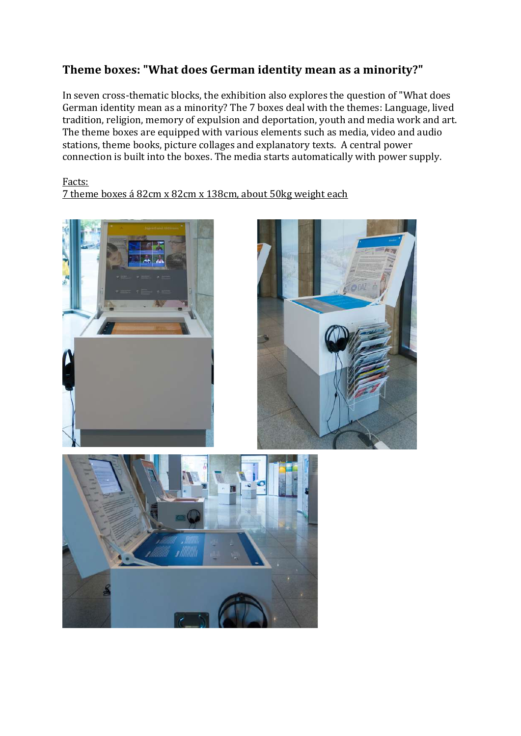## Theme boxes: "What does German identity mean as a minority?"

In seven cross-thematic blocks, the exhibition also explores the question of "What does German identity mean as a minority? The 7 boxes deal with the themes: Language, lived tradition, religion, memory of expulsion and deportation, youth and media work and art. The theme boxes are equipped with various elements such as media, video and audio stations, theme books, picture collages and explanatory texts. A central power connection is built into the boxes. The media starts automatically with power supply.

#### Facts:

7 theme boxes á 82cm x 82cm x 138cm, about 50kg weight each





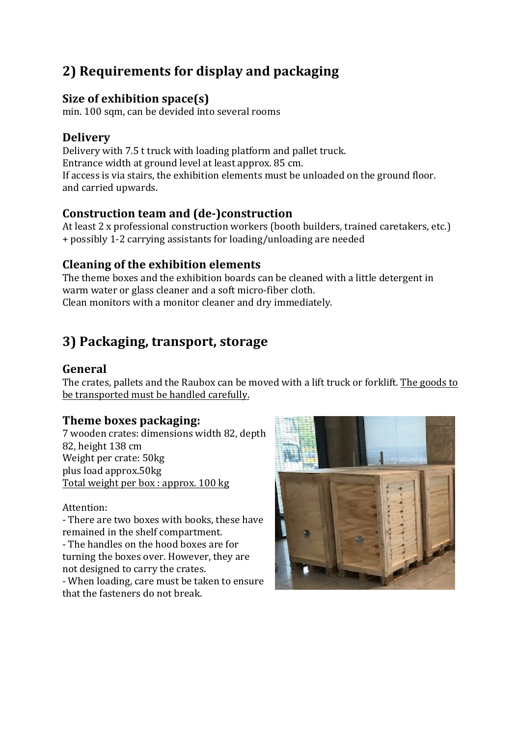# **2) Requirements for display and packaging**

## **Size of exhibition space(s)**

min. 100 sqm, can be devided into several rooms

## **Delivery**

Delivery with 7.5 t truck with loading platform and pallet truck. Entrance width at ground level at least approx. 85 cm. If access is via stairs, the exhibition elements must be unloaded on the ground floor. and carried upwards.

## **Construction team and (de-)construction**

At least 2 x professional construction workers (booth builders, trained caretakers, etc.) + possibly 1-2 carrying assistants for loading/unloading are needed

## **Cleaning of the exhibition elements**

The theme boxes and the exhibition boards can be cleaned with a little detergent in warm water or glass cleaner and a soft micro-fiber cloth. Clean monitors with a monitor cleaner and dry immediately.

## **3) Packaging, transport, storage**

## **General**

The crates, pallets and the Raubox can be moved with a lift truck or forklift. The goods to be transported must be handled carefully.

## **Theme boxes packaging:**

7 wooden crates: dimensions width 82, depth 82, height 138 cm Weight per crate: 50kg plus load approx.50kg Total weight per box : approx. 100 kg

Attention: 

- There are two boxes with books, these have remained in the shelf compartment.

- The handles on the hood boxes are for turning the boxes over. However, they are not designed to carry the crates.

- When loading, care must be taken to ensure that the fasteners do not break.

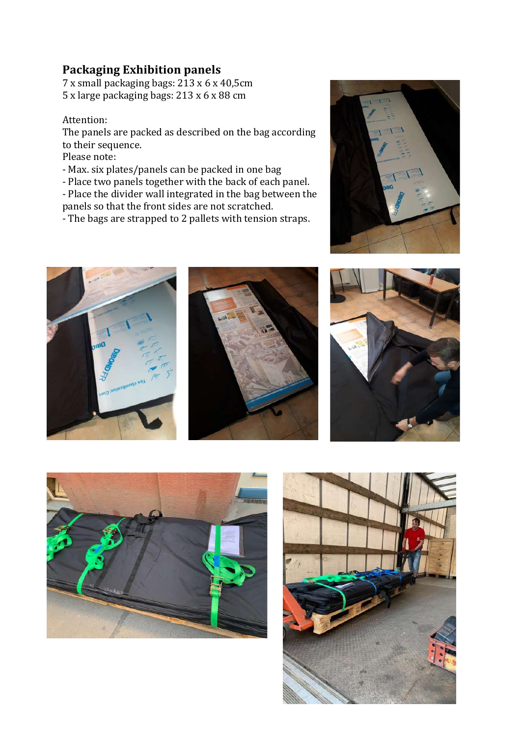#### **Packaging Exhibition panels**

7 x small packaging bags:  $213 \times 6 \times 40,5$ cm  $5 \times \text{large package}$  packaging bags:  $213 \times 6 \times 88 \text{ cm}$ 

#### Attention:

The panels are packed as described on the bag according to their sequence.

Please note:

- Max. six plates/panels can be packed in one bag
- Place two panels together with the back of each panel.
- Place the divider wall integrated in the bag between the panels so that the front sides are not scratched.
- The bags are strapped to 2 pallets with tension straps.











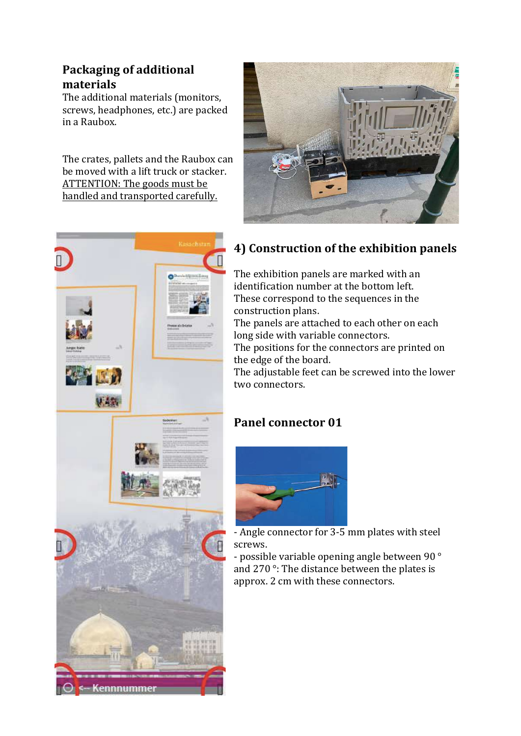## **Packaging of additional materials**

The additional materials (monitors, screws, headphones, etc.) are packed in a Raubox.

The crates, pallets and the Raubox can be moved with a lift truck or stacker. ATTENTION: The goods must be handled and transported carefully.





## **4) Construction of the exhibition panels**

The exhibition panels are marked with an identification number at the bottom left. These correspond to the sequences in the construction plans.

The panels are attached to each other on each long side with variable connectors.

The positions for the connectors are printed on the edge of the board.

The adjustable feet can be screwed into the lower two connectors.

## **Panel connector 01**



- Angle connector for  $3-5$  mm plates with steel screws.

- possible variable opening angle between 90 ° and 270 $\degree$ : The distance between the plates is approx. 2 cm with these connectors.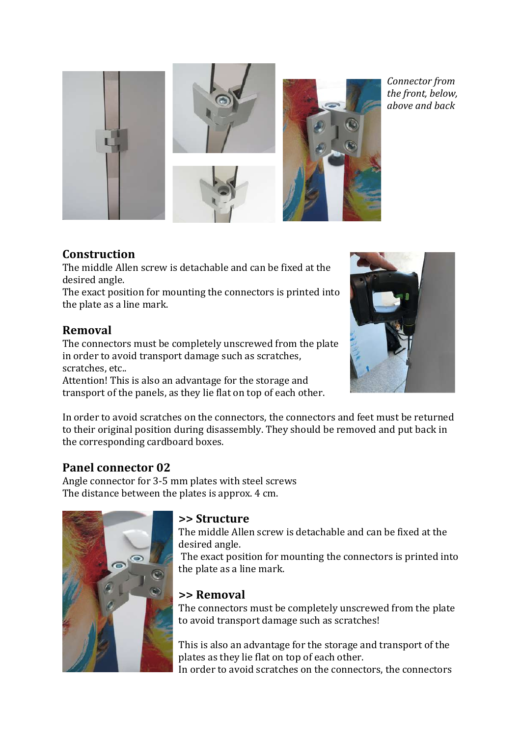

*Connector from*  the front, below, *above and back*

#### **Construction**

The middle Allen screw is detachable and can be fixed at the desired angle.

The exact position for mounting the connectors is printed into the plate as a line mark.

#### **Removal**

The connectors must be completely unscrewed from the plate in order to avoid transport damage such as scratches, scratches, etc..

Attention! This is also an advantage for the storage and transport of the panels, as they lie flat on top of each other.



In order to avoid scratches on the connectors, the connectors and feet must be returned to their original position during disassembly. They should be removed and put back in the corresponding cardboard boxes.

## **Panel connector 02**

Angle connector for 3-5 mm plates with steel screws The distance between the plates is approx. 4 cm.



#### **>> Structure**

The middle Allen screw is detachable and can be fixed at the desired angle.

The exact position for mounting the connectors is printed into the plate as a line mark.

## **>> Removal**

The connectors must be completely unscrewed from the plate to avoid transport damage such as scratches!

This is also an advantage for the storage and transport of the plates as they lie flat on top of each other. In order to avoid scratches on the connectors, the connectors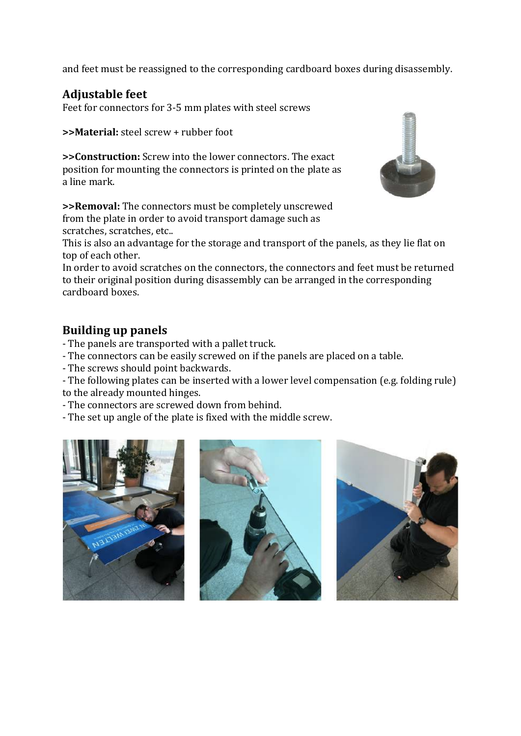and feet must be reassigned to the corresponding cardboard boxes during disassembly.

## **Adjustable feet**

Feet for connectors for 3-5 mm plates with steel screws

**>>Material:** steel screw + rubber foot

**>>Construction:** Screw into the lower connectors. The exact position for mounting the connectors is printed on the plate as a line mark.



This is also an advantage for the storage and transport of the panels, as they lie flat on top of each other.

In order to avoid scratches on the connectors, the connectors and feet must be returned to their original position during disassembly can be arranged in the corresponding cardboard boxes.

#### **Building up panels**

- The panels are transported with a pallet truck.
- The connectors can be easily screwed on if the panels are placed on a table.
- The screws should point backwards.

- The following plates can be inserted with a lower level compensation (e.g. folding rule) to the already mounted hinges.

- The connectors are screwed down from behind.
- The set up angle of the plate is fixed with the middle screw.







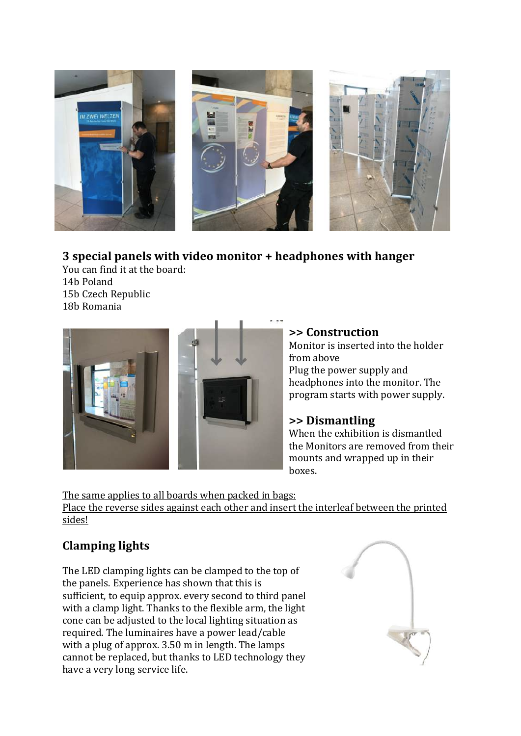

#### **3** special panels with video monitor + headphones with hanger

You can find it at the board: 14b Poland 15b Czech Republic 18b Romania



#### **>> Construction**

Monitor is inserted into the holder from above Plug the power supply and headphones into the monitor. The program starts with power supply.

#### **>> Dismantling**

When the exhibition is dismantled the Monitors are removed from their mounts and wrapped up in their boxes.

The same applies to all boards when packed in bags: Place the reverse sides against each other and insert the interleaf between the printed sides!

## **Clamping lights**

The LED clamping lights can be clamped to the top of the panels. Experience has shown that this is sufficient, to equip approx. every second to third panel with a clamp light. Thanks to the flexible arm, the light cone can be adjusted to the local lighting situation as required. The luminaires have a power lead/cable with a plug of approx.  $3.50 \text{ m}$  in length. The lamps cannot be replaced, but thanks to LED technology they have a very long service life.

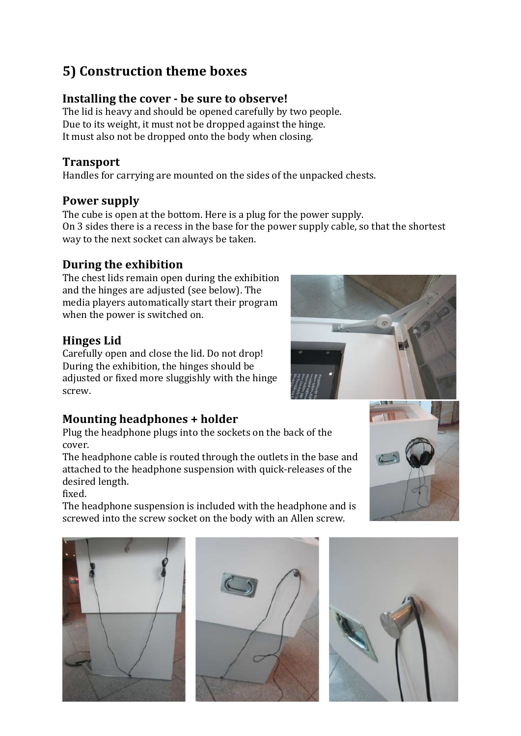# **5) Construction theme boxes**

## **Installing the cover - be sure to observe!**

The lid is heavy and should be opened carefully by two people. Due to its weight, it must not be dropped against the hinge. It must also not be dropped onto the body when closing.

## **Transport**

Handles for carrying are mounted on the sides of the unpacked chests.

## **Power supply**

The cube is open at the bottom. Here is a plug for the power supply. On 3 sides there is a recess in the base for the power supply cable, so that the shortest way to the next socket can always be taken.

## **During the exhibition**

The chest lids remain open during the exhibition and the hinges are adjusted (see below). The media players automatically start their program when the power is switched on.

## **Hinges Lid**

Carefully open and close the lid. Do not drop! During the exhibition, the hinges should be adjusted or fixed more sluggishly with the hinge screw.

## **Mounting headphones + holder**

Plug the headphone plugs into the sockets on the back of the cover.

The headphone cable is routed through the outlets in the base and attached to the headphone suspension with quick-releases of the desired length.

fixed.

The headphone suspension is included with the headphone and is screwed into the screw socket on the body with an Allen screw.









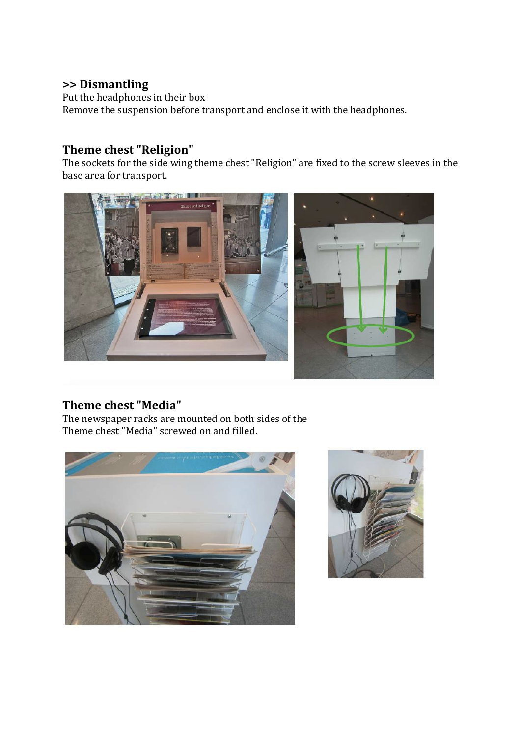#### **>> Dismantling**

Put the headphones in their box Remove the suspension before transport and enclose it with the headphones.

## **Theme chest "Religion"**

The sockets for the side wing theme chest "Religion" are fixed to the screw sleeves in the base area for transport.



## **Theme chest "Media"**

The newspaper racks are mounted on both sides of the Theme chest "Media" screwed on and filled.